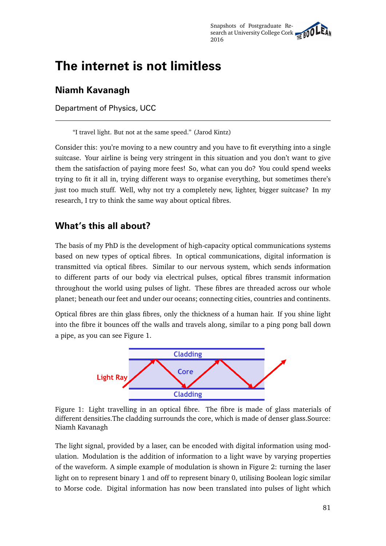# **The internet is not limitless**

### **Niamh Kavanagh**

Department of Physics, UCC

"I travel light. But not at the same speed." (Jarod Kintz)

Consider this: you're moving to a new country and you have to fit everything into a single suitcase. Your airline is being very stringent in this situation and you don't want to give them the satisfaction of paying more fees! So, what can you do? You could spend weeks trying to fit it all in, trying different ways to organise everything, but sometimes there's just too much stuff. Well, why not try a completely new, lighter, bigger suitcase? In my research, I try to think the same way about optical fibres.

#### **What's this all about?**

The basis of my PhD is the development of high-capacity optical communications systems based on new types of optical fibres. In optical communications, digital information is transmitted via optical fibres. Similar to our nervous system, which sends information to different parts of our body via electrical pulses, optical fibres transmit information throughout the world using pulses of light. These fibres are threaded across our whole planet; beneath our feet and under our oceans; connecting cities, countries and continents.

Optical fibres are thin glass fibres, only the thickness of a human hair. If you shine light into the fibre it bounces off the walls and travels along, similar to a ping pong ball down a pipe, as you can see Figure 1.



Figure 1: Light travelling in an optical fibre. The fibre is made of glass materials of different densities.The cladding surrounds the core, which is made of denser glass.Source: Niamh Kavanagh

The light signal, provided by a laser, can be encoded with digital information using modulation. Modulation is the addition of information to a light wave by varying properties of the waveform. A simple example of modulation is shown in Figure 2: turning the laser light on to represent binary 1 and off to represent binary 0, utilising Boolean logic similar to Morse code. Digital information has now been translated into pulses of light which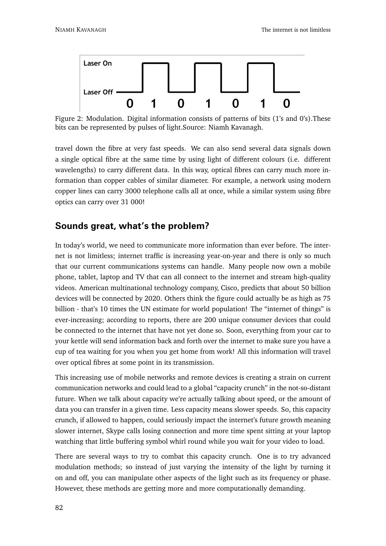

Figure 2: Modulation. Digital information consists of patterns of bits (1's and 0's).These bits can be represented by pulses of light.Source: Niamh Kavanagh.

travel down the fibre at very fast speeds. We can also send several data signals down a single optical fibre at the same time by using light of different colours (i.e. different wavelengths) to carry different data. In this way, optical fibres can carry much more information than copper cables of similar diameter. For example, a network using modern copper lines can carry 3000 telephone calls all at once, while a similar system using fibre optics can carry over 31 000!

#### **Sounds great, what's the problem?**

In today's world, we need to communicate more information than ever before. The internet is not limitless; internet traffic is increasing year-on-year and there is only so much that our current communications systems can handle. Many people now own a mobile phone, tablet, laptop and TV that can all connect to the internet and stream high-quality videos. American multinational technology company, Cisco, predicts that about 50 billion devices will be connected by 2020. Others think the figure could actually be as high as 75 billion - that's 10 times the UN estimate for world population! The "internet of things" is ever-increasing; according to reports, there are 200 unique consumer devices that could be connected to the internet that have not yet done so. Soon, everything from your car to your kettle will send information back and forth over the internet to make sure you have a cup of tea waiting for you when you get home from work! All this information will travel over optical fibres at some point in its transmission.

This increasing use of mobile networks and remote devices is creating a strain on current communication networks and could lead to a global "capacity crunch" in the not-so-distant future. When we talk about capacity we're actually talking about speed, or the amount of data you can transfer in a given time. Less capacity means slower speeds. So, this capacity crunch, if allowed to happen, could seriously impact the internet's future growth meaning slower internet, Skype calls losing connection and more time spent sitting at your laptop watching that little buffering symbol whirl round while you wait for your video to load.

There are several ways to try to combat this capacity crunch. One is to try advanced modulation methods; so instead of just varying the intensity of the light by turning it on and off, you can manipulate other aspects of the light such as its frequency or phase. However, these methods are getting more and more computationally demanding.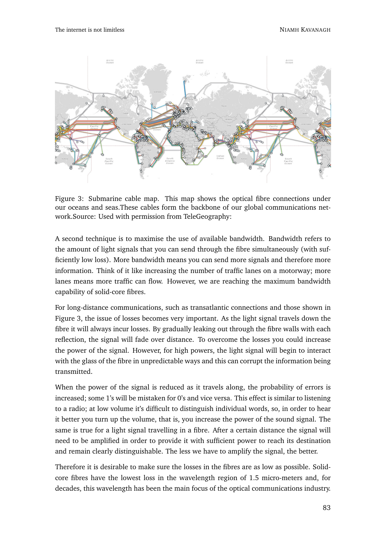

Figure 3: Submarine cable map. This map shows the optical fibre connections under our oceans and seas.These cables form the backbone of our global communications network.Source: Used with permission from TeleGeography:

A second technique is to maximise the use of available bandwidth. Bandwidth refers to the amount of light signals that you can send through the fibre simultaneously (with sufficiently low loss). More bandwidth means you can send more signals and therefore more information. Think of it like increasing the number of traffic lanes on a motorway; more lanes means more traffic can flow. However, we are reaching the maximum bandwidth capability of solid-core fibres.

For long-distance communications, such as transatlantic connections and those shown in Figure 3, the issue of losses becomes very important. As the light signal travels down the fibre it will always incur losses. By gradually leaking out through the fibre walls with each reflection, the signal will fade over distance. To overcome the losses you could increase the power of the signal. However, for high powers, the light signal will begin to interact with the glass of the fibre in unpredictable ways and this can corrupt the information being transmitted.

When the power of the signal is reduced as it travels along, the probability of errors is increased; some 1's will be mistaken for 0's and vice versa. This effect is similar to listening to a radio; at low volume it's difficult to distinguish individual words, so, in order to hear it better you turn up the volume, that is, you increase the power of the sound signal. The same is true for a light signal travelling in a fibre. After a certain distance the signal will need to be amplified in order to provide it with sufficient power to reach its destination and remain clearly distinguishable. The less we have to amplify the signal, the better.

Therefore it is desirable to make sure the losses in the fibres are as low as possible. Solidcore fibres have the lowest loss in the wavelength region of 1.5 micro-meters and, for decades, this wavelength has been the main focus of the optical communications industry.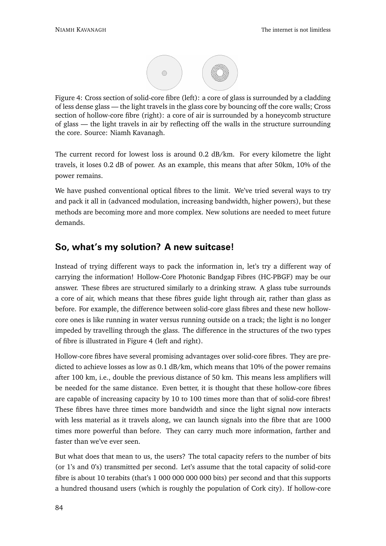

Figure 4: Cross section of solid-core fibre (left): a core of glass is surrounded by a cladding of less dense glass — the light travels in the glass core by bouncing off the core walls; Cross section of hollow-core fibre (right): a core of air is surrounded by a honeycomb structure of glass — the light travels in air by reflecting off the walls in the structure surrounding the core. Source: Niamh Kavanagh.

The current record for lowest loss is around 0.2 dB/km. For every kilometre the light travels, it loses 0.2 dB of power. As an example, this means that after 50km, 10% of the power remains.

We have pushed conventional optical fibres to the limit. We've tried several ways to try and pack it all in (advanced modulation, increasing bandwidth, higher powers), but these methods are becoming more and more complex. New solutions are needed to meet future demands.

## **So, what's my solution? A new suitcase!**

Instead of trying different ways to pack the information in, let's try a different way of carrying the information! Hollow-Core Photonic Bandgap Fibres (HC-PBGF) may be our answer. These fibres are structured similarly to a drinking straw. A glass tube surrounds a core of air, which means that these fibres guide light through air, rather than glass as before. For example, the difference between solid-core glass fibres and these new hollowcore ones is like running in water versus running outside on a track; the light is no longer impeded by travelling through the glass. The difference in the structures of the two types of fibre is illustrated in Figure 4 (left and right).

Hollow-core fibres have several promising advantages over solid-core fibres. They are predicted to achieve losses as low as 0.1 dB/km, which means that 10% of the power remains after 100 km, i.e., double the previous distance of 50 km. This means less amplifiers will be needed for the same distance. Even better, it is thought that these hollow-core fibres are capable of increasing capacity by 10 to 100 times more than that of solid-core fibres! These fibres have three times more bandwidth and since the light signal now interacts with less material as it travels along, we can launch signals into the fibre that are 1000 times more powerful than before. They can carry much more information, farther and faster than we've ever seen.

But what does that mean to us, the users? The total capacity refers to the number of bits (or 1's and 0's) transmitted per second. Let's assume that the total capacity of solid-core fibre is about 10 terabits (that's 1 000 000 000 000 bits) per second and that this supports a hundred thousand users (which is roughly the population of Cork city). If hollow-core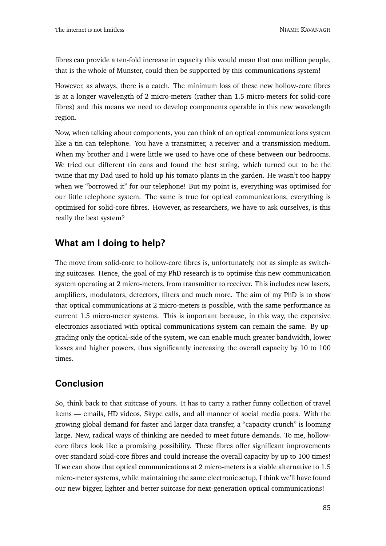fibres can provide a ten-fold increase in capacity this would mean that one million people, that is the whole of Munster, could then be supported by this communications system!

However, as always, there is a catch. The minimum loss of these new hollow-core fibres is at a longer wavelength of 2 micro-meters (rather than 1.5 micro-meters for solid-core fibres) and this means we need to develop components operable in this new wavelength region.

Now, when talking about components, you can think of an optical communications system like a tin can telephone. You have a transmitter, a receiver and a transmission medium. When my brother and I were little we used to have one of these between our bedrooms. We tried out different tin cans and found the best string, which turned out to be the twine that my Dad used to hold up his tomato plants in the garden. He wasn't too happy when we "borrowed it" for our telephone! But my point is, everything was optimised for our little telephone system. The same is true for optical communications, everything is optimised for solid-core fibres. However, as researchers, we have to ask ourselves, is this really the best system?

#### **What am I doing to help?**

The move from solid-core to hollow-core fibres is, unfortunately, not as simple as switching suitcases. Hence, the goal of my PhD research is to optimise this new communication system operating at 2 micro-meters, from transmitter to receiver. This includes new lasers, amplifiers, modulators, detectors, filters and much more. The aim of my PhD is to show that optical communications at 2 micro-meters is possible, with the same performance as current 1.5 micro-meter systems. This is important because, in this way, the expensive electronics associated with optical communications system can remain the same. By upgrading only the optical-side of the system, we can enable much greater bandwidth, lower losses and higher powers, thus significantly increasing the overall capacity by 10 to 100 times.

## **Conclusion**

So, think back to that suitcase of yours. It has to carry a rather funny collection of travel items — emails, HD videos, Skype calls, and all manner of social media posts. With the growing global demand for faster and larger data transfer, a "capacity crunch" is looming large. New, radical ways of thinking are needed to meet future demands. To me, hollowcore fibres look like a promising possibility. These fibres offer significant improvements over standard solid-core fibres and could increase the overall capacity by up to 100 times! If we can show that optical communications at 2 micro-meters is a viable alternative to 1.5 micro-meter systems, while maintaining the same electronic setup, I think we'll have found our new bigger, lighter and better suitcase for next-generation optical communications!